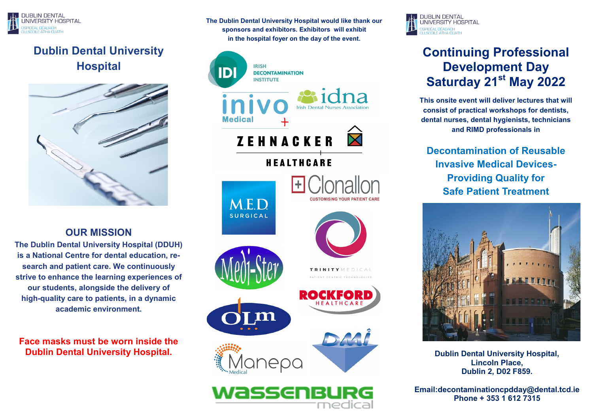

## **Dublin Dental University Hospital**



## **OUR MISSION**

**The Dublin Dental University Hospital (DDUH) is a National Centre for dental education, research and patient care. We continuously strive to enhance the learning experiences of our students, alongside the delivery of high-quality care to patients, in a dynamic academic environment.**

**Face masks must be worn inside the Dublin Dental University Hospital.** 

**The Dublin Dental University Hospital would like thank our sponsors and exhibitors. Exhibitors will exhibit in the hospital foyer on the day of the event.**



**DUBLIN DENTAL** UNIVERSITY HOSPITAL **IDÉAL DÉADACH** 

# **Continuing Professional Development Day Saturday 21st May 2022**

**This onsite event will deliver lectures that will consist of practical workshops for dentists, dental nurses, dental hygienists, technicians and RIMD professionals in** 

**Decontamination of Reusable Invasive Medical Devices-Providing Quality for Safe Patient Treatment**



**Dublin Dental University Hospital, Lincoln Place, Dublin 2, D02 F859.**

**Email:decontaminationcpdday@dental.tcd.ie Phone + 353 1 612 7315**